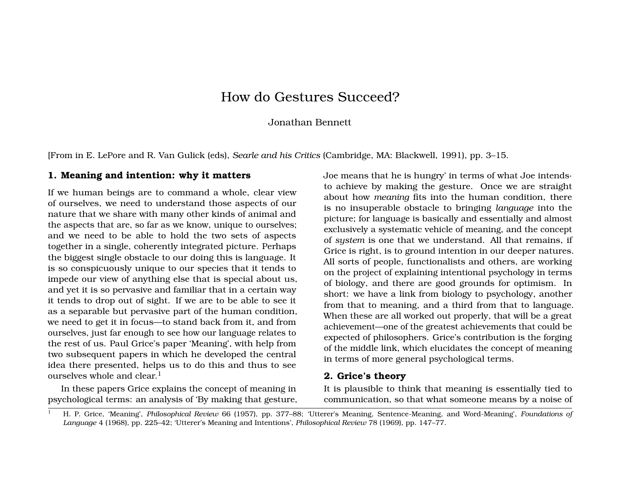# How do Gestures Succeed?

Jonathan Bennett

[From in E. LePore and R. Van Gulick (eds), *Searle and his Critics* (Cambridge, MA: Blackwell, 1991), pp. 3–15.

## **1. Meaning and intention: why it matters**

If we human beings are to command a whole, clear view of ourselves, we need to understand those aspects of our nature that we share with many other kinds of animal and the aspects that are, so far as we know, unique to ourselves; and we need to be able to hold the two sets of aspects together in a single, coherently integrated picture. Perhaps the biggest single obstacle to our doing this is language. It is so conspicuously unique to our species that it tends to impede our view of anything else that is special about us, and yet it is so pervasive and familiar that in a certain way it tends to drop out of sight. If we are to be able to see it as a separable but pervasive part of the human condition, we need to get it in focus—to stand back from it, and from ourselves, just far enough to see how our language relates to the rest of us. Paul Grice's paper 'Meaning', with help from two subsequent papers in which he developed the central idea there presented, helps us to do this and thus to see ourselves whole and clear.<sup>1</sup>

In these papers Grice explains the concept of meaning in psychological terms: an analysis of 'By making that gesture, Joe means that he is hungry' in terms of what Joe intends· to achieve by making the gesture. Once we are straight about how *meaning* fits into the human condition, there is no insuperable obstacle to bringing *language* into the picture; for language is basically and essentially and almost exclusively a systematic vehicle of meaning, and the concept of *system* is one that we understand. All that remains, if Grice is right, is to ground intention in our deeper natures. All sorts of people, functionalists and others, are working on the project of explaining intentional psychology in terms of biology, and there are good grounds for optimism. In short: we have a link from biology to psychology, another from that to meaning, and a third from that to language. When these are all worked out properly, that will be a great achievement—one of the greatest achievements that could be expected of philosophers. Grice's contribution is the forging of the middle link, which elucidates the concept of meaning in terms of more general psychological terms.

#### **2. Grice's theory**

It is plausible to think that meaning is essentially tied to communication, so that what someone means by a noise of

<sup>1</sup> H. P. Grice, 'Meaning', *Philosophical Review* 66 (1957), pp. 377–88; 'Utterer's Meaning, Sentence-Meaning, and Word-Meaning', *Foundations of Language* 4 (1968), pp. 225–42; 'Utterer's Meaning and Intentions', *Philosophical Review* 78 (1969), pp. 147–77.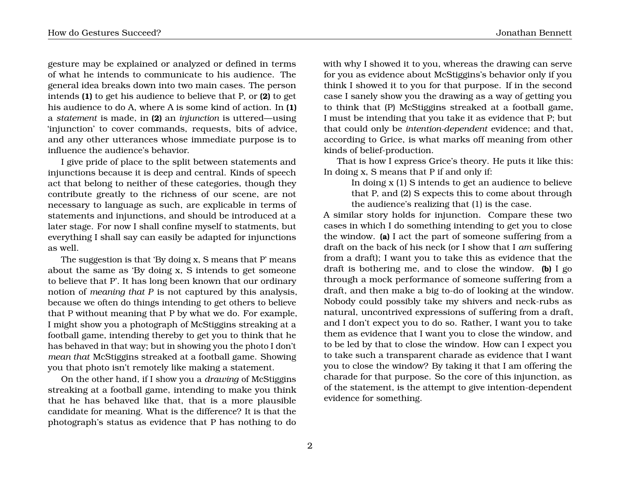influence the audience's behavior.

gesture may be explained or analyzed or defined in terms of what he intends to communicate to his audience. The general idea breaks down into two main cases. The person intends **(1)** to get his audience to believe that P, or **(2)** to get his audience to do A, where A is some kind of action. In **(1)** a *statement* is made, in **(2)** an *injunction* is uttered—using 'injunction' to cover commands, requests, bits of advice, and any other utterances whose immediate purpose is to

I give pride of place to the split between statements and injunctions because it is deep and central. Kinds of speech act that belong to neither of these categories, though they contribute greatly to the richness of our scene, are not necessary to language as such, are explicable in terms of statements and injunctions, and should be introduced at a later stage. For now I shall confine myself to statments, but everything I shall say can easily be adapted for injunctions as well.

The suggestion is that 'By doing x, S means that P' means about the same as 'By doing x, S intends to get someone to believe that P'. It has long been known that our ordinary notion of *meaning that P* is not captured by this analysis, because we often do things intending to get others to believe that P without meaning that P by what we do. For example, I might show you a photograph of McStiggins streaking at a football game, intending thereby to get you to think that he has behaved in that way; but in showing you the photo I don't *mean that* McStiggins streaked at a football game. Showing you that photo isn't remotely like making a statement.

On the other hand, if I show you a *drawing* of McStiggins streaking at a football game, intending to make you think that he has behaved like that, that is a more plausible candidate for meaning. What is the difference? It is that the photograph's status as evidence that P has nothing to do with why I showed it to you, whereas the drawing can serve for you as evidence about McStiggins's behavior only if you think I showed it to you for that purpose. If in the second case I sanely show you the drawing as a way of getting you to think that (P) McStiggins streaked at a football game, I must be intending that you take it as evidence that P; but that could only be *intention-dependent* evidence; and that, according to Grice, is what marks off meaning from other kinds of belief-production.

That is how I express Grice's theory. He puts it like this: In doing x, S means that P if and only if:

> In doing x (1) S intends to get an audience to believe that P, and (2) S expects this to come about through the audience's realizing that (1) is the case.

A similar story holds for injunction. Compare these two cases in which I do something intending to get you to close the window. **(a)** I act the part of someone suffering from a draft on the back of his neck (or I show that I *am* suffering from a draft); I want you to take this as evidence that the draft is bothering me, and to close the window. **(b)** I go through a mock performance of someone suffering from a draft, and then make a big to-do of looking at the window. Nobody could possibly take my shivers and neck-rubs as natural, uncontrived expressions of suffering from a draft, and I don't expect you to do so. Rather, I want you to take them as evidence that I want you to close the window, and to be led by that to close the window. How can I expect you to take such a transparent charade as evidence that I want you to close the window? By taking it that I am offering the charade for that purpose. So the core of this injunction, as of the statement, is the attempt to give intention-dependent evidence for something.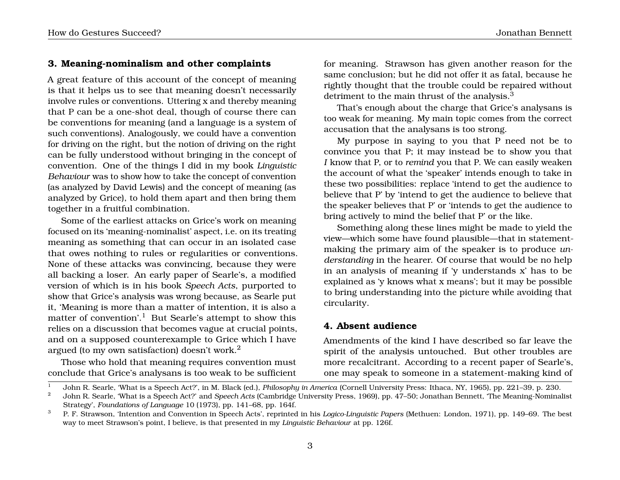## **3. Meaning-nominalism and other complaints**

A great feature of this account of the concept of meaning is that it helps us to see that meaning doesn't necessarily involve rules or conventions. Uttering x and thereby meaning that P can be a one-shot deal, though of course there can be conventions for meaning (and a language is a system of such conventions). Analogously, we could have a convention for driving on the right, but the notion of driving on the right can be fully understood without bringing in the concept of convention. One of the things I did in my book *Linguistic Behaviour* was to show how to take the concept of convention (as analyzed by David Lewis) and the concept of meaning (as analyzed by Grice), to hold them apart and then bring them together in a fruitful combination.

Some of the earliest attacks on Grice's work on meaning focused on its 'meaning-nominalist' aspect, i.e. on its treating meaning as something that can occur in an isolated case that owes nothing to rules or regularities or conventions. None of these attacks was convincing, because they were all backing a loser. An early paper of Searle's, a modified version of which is in his book *Speech Acts*, purported to show that Grice's analysis was wrong because, as Searle put it, 'Meaning is more than a matter of intention, it is also a matter of convention'.<sup>1</sup> But Searle's attempt to show this relies on a discussion that becomes vague at crucial points, and on a supposed counterexample to Grice which I have argued (to my own satisfaction) doesn't work.<sup>2</sup>

Those who hold that meaning requires convention must conclude that Grice's analysans is too weak to be sufficient

for meaning. Strawson has given another reason for the same conclusion; but he did not offer it as fatal, because he rightly thought that the trouble could be repaired without detriment to the main thrust of the analysis.<sup>3</sup>

That's enough about the charge that Grice's analysans is too weak for meaning. My main topic comes from the correct accusation that the analysans is too strong.

My purpose in saying to you that P need not be to convince you that P; it may instead be to show you that *I* know that P, or to *remind* you that P. We can easily weaken the account of what the 'speaker' intends enough to take in these two possibilities: replace 'intend to get the audience to believe that P' by 'intend to get the audience to believe that the speaker believes that P' or 'intends to get the audience to bring actively to mind the belief that P' or the like.

Something along these lines might be made to yield the view—which some have found plausible—that in statementmaking the primary aim of the speaker is to produce *understanding* in the hearer. Of course that would be no help in an analysis of meaning if 'y understands x' has to be explained as 'y knows what x means'; but it may be possible to bring understanding into the picture while avoiding that circularity.

#### **4. Absent audience**

Amendments of the kind I have described so far leave the spirit of the analysis untouched. But other troubles are more recalcitrant. According to a recent paper of Searle's, one may speak to someone in a statement-making kind of

<sup>1</sup> John R. Searle, 'What is a Speech Act?', in M. Black (ed.), *Philosophy in America* (Cornell University Press: Ithaca, NY, 1965), pp. 221–39, p. 230.

<sup>2</sup> John R. Searle, 'What is a Speech Act?' and *Speech Acts* (Cambridge University Press, 1969), pp. 47–50; Jonathan Bennett, 'The Meaning-Nominalist Strategy', *Foundations of Language* 10 (1973), pp. 141–68, pp. 164f.

<sup>3</sup> P. F. Strawson, 'Intention and Convention in Speech Acts', reprinted in his *Logico-Linguistic Papers* (Methuen: London, 1971), pp. 149–69. The best way to meet Strawson's point, I believe, is that presented in my *Linguistic Behaviour* at pp. 126f.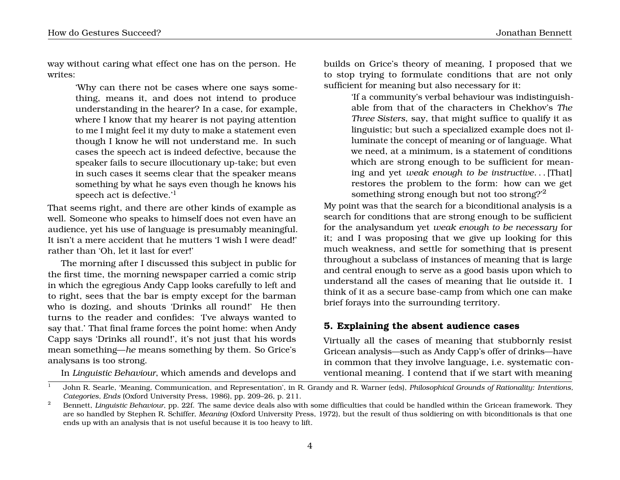way without caring what effect one has on the person. He writes:

> 'Why can there not be cases where one says something, means it, and does not intend to produce understanding in the hearer? In a case, for example, where I know that my hearer is not paying attention to me I might feel it my duty to make a statement even though I know he will not understand me. In such cases the speech act is indeed defective, because the speaker fails to secure illocutionary up-take; but even in such cases it seems clear that the speaker means something by what he says even though he knows his speech act is defective.'<sup>1</sup>

That seems right, and there are other kinds of example as well. Someone who speaks to himself does not even have an audience, yet his use of language is presumably meaningful. It isn't a mere accident that he mutters 'I wish I were dead!' rather than 'Oh, let it last for ever!'

The morning after I discussed this subject in public for the first time, the morning newspaper carried a comic strip in which the egregious Andy Capp looks carefully to left and to right, sees that the bar is empty except for the barman who is dozing, and shouts 'Drinks all round!' He then turns to the reader and confides: 'I've always wanted to say that.' That final frame forces the point home: when Andy Capp says 'Drinks all round!', it's not just that his words mean something—*he* means something by them. So Grice's analysans is too strong.

In *Linguistic Behaviour*, which amends and develops and

builds on Grice's theory of meaning, I proposed that we to stop trying to formulate conditions that are not only sufficient for meaning but also necessary for it:

> 'If a community's verbal behaviour was indistinguishable from that of the characters in Chekhov's *The Three Sisters*, say, that might suffice to qualify it as linguistic; but such a specialized example does not illuminate the concept of meaning or of language. What we need, at a minimum, is a statement of conditions which are strong enough to be sufficient for meaning and yet *weak enough to be instructive*. . . [That] restores the problem to the form: how can we get something strong enough but not too strong?'<sup>2</sup>

My point was that the search for a biconditional analysis is a search for conditions that are strong enough to be sufficient for the analysandum yet *weak enough to be necessary* for it; and I was proposing that we give up looking for this much weakness, and settle for something that is present throughout a subclass of instances of meaning that is large and central enough to serve as a good basis upon which to understand all the cases of meaning that lie outside it. I think of it as a secure base-camp from which one can make brief forays into the surrounding territory.

## **5. Explaining the absent audience cases**

Virtually all the cases of meaning that stubbornly resist Gricean analysis—such as Andy Capp's offer of drinks—have in common that they involve language, i.e. systematic conventional meaning. I contend that if we start with meaning

<sup>1</sup> John R. Searle, 'Meaning, Communication, and Representation', in R. Grandy and R. Warner (eds), *Philosophical Grounds of Rationality: Intentions, Categories, Ends* (Oxford University Press, 1986), pp. 209–26, p. 211.

<sup>&</sup>lt;sup>2</sup> Bennett, *Linguistic Behaviour*, pp. 22f. The same device deals also with some difficulties that could be handled within the Gricean framework. They are so handled by Stephen R. Schiffer, *Meaning* (Oxford University Press, 1972), but the result of thus soldiering on with biconditionals is that one ends up with an analysis that is not useful because it is too heavy to lift.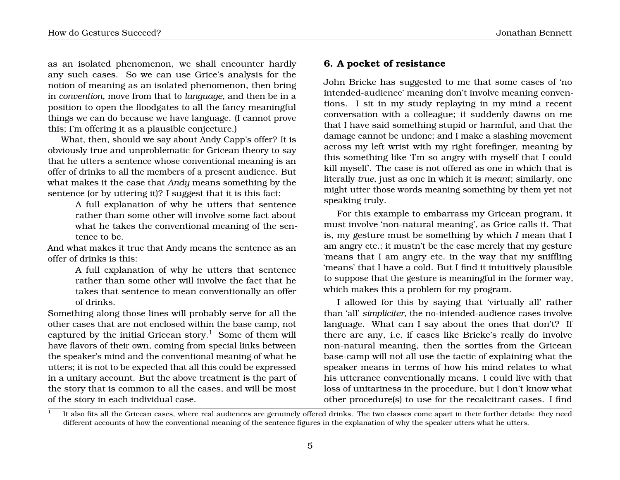as an isolated phenomenon, we shall encounter hardly any such cases. So we can use Grice's analysis for the notion of meaning as an isolated phenomenon, then bring in *convention*, move from that to *language*, and then be in a position to open the floodgates to all the fancy meaningful things we can do because we have language. (I cannot prove this; I'm offering it as a plausible conjecture.)

What, then, should we say about Andy Capp's offer? It is obviously true and unproblematic for Gricean theory to say that he utters a sentence whose conventional meaning is an offer of drinks to all the members of a present audience. But what makes it the case that *Andy* means something by the sentence (or by uttering it)? I suggest that it is this fact:

> A full explanation of why he utters that sentence rather than some other will involve some fact about what he takes the conventional meaning of the sentence to be.

And what makes it true that Andy means the sentence as an offer of drinks is this:

> A full explanation of why he utters that sentence rather than some other will involve the fact that he takes that sentence to mean conventionally an offer of drinks.

Something along those lines will probably serve for all the other cases that are not enclosed within the base camp, not captured by the initial Gricean story.<sup>1</sup> Some of them will have flavors of their own, coming from special links between the speaker's mind and the conventional meaning of what he utters; it is not to be expected that all this could be expressed in a unitary account. But the above treatment is the part of the story that is common to all the cases, and will be most of the story in each individual case.

### **6. A pocket of resistance**

John Bricke has suggested to me that some cases of 'no intended-audience' meaning don't involve meaning conventions. I sit in my study replaying in my mind a recent conversation with a colleague; it suddenly dawns on me that I have said something stupid or harmful, and that the damage cannot be undone; and I make a slashing movement across my left wrist with my right forefinger, meaning by this something like 'I'm so angry with myself that I could kill myself'. The case is not offered as one in which that is literally *true*, just as one in which it is *meant*; similarly, one might utter those words meaning something by them yet not speaking truly.

For this example to embarrass my Gricean program, it must involve 'non-natural meaning', as Grice calls it. That is, my gesture must be something by which *I* mean that I am angry etc.; it mustn't be the case merely that my gesture 'means that I am angry etc. in the way that my sniffling 'means' that I have a cold. But I find it intuitively plausible to suppose that the gesture is meaningful in the former way, which makes this a problem for my program.

I allowed for this by saying that 'virtually all' rather than 'all' *simpliciter*, the no-intended-audience cases involve language. What can I say about the ones that don't? If there are any, i.e. if cases like Bricke's really do involve non-natural meaning, then the sorties from the Gricean base-camp will not all use the tactic of explaining what the speaker means in terms of how his mind relates to what his utterance conventionally means. I could live with that loss of unitariness in the procedure, but I don't know what other procedure(s) to use for the recalcitrant cases. I find

<sup>1</sup> It also fits all the Gricean cases, where real audiences are genuinely offered drinks. The two classes come apart in their further details: they need different accounts of how the conventional meaning of the sentence figures in the explanation of why the speaker utters what he utters.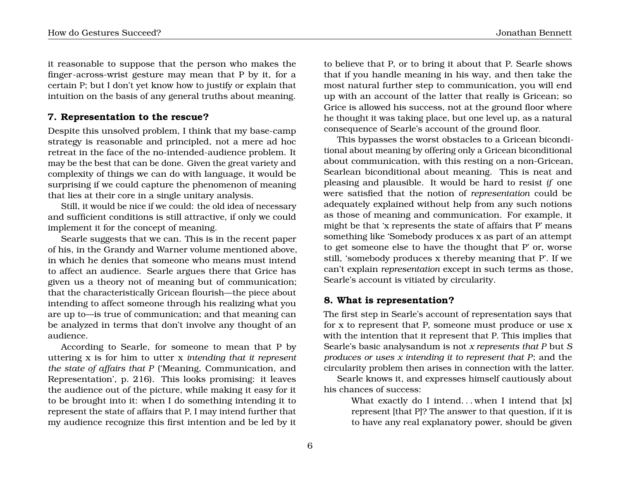it reasonable to suppose that the person who makes the finger-across-wrist gesture may mean that P by it, for a certain P; but I don't yet know how to justify or explain that intuition on the basis of any general truths about meaning.

## **7. Representation to the rescue?**

Despite this unsolved problem, I think that my base-camp strategy is reasonable and principled, not a mere ad hoc retreat in the face of the no-intended-audience problem. It may be the best that can be done. Given the great variety and complexity of things we can do with language, it would be surprising if we could capture the phenomenon of meaning that lies at their core in a single unitary analysis.

Still, it would be nice if we could: the old idea of necessary and sufficient conditions is still attractive, if only we could implement it for the concept of meaning.

Searle suggests that we can. This is in the recent paper of his, in the Grandy and Warner volume mentioned above, in which he denies that someone who means must intend to affect an audience. Searle argues there that Grice has given us a theory not of meaning but of communication; that the characteristically Gricean flourish—the piece about intending to affect someone through his realizing what you are up to—is true of communication; and that meaning can be analyzed in terms that don't involve any thought of an audience.

According to Searle, for someone to mean that P by uttering x is for him to utter x *intending that it represent the state of affairs that P* ('Meaning, Communication, and Representation', p. 216). This looks promising: it leaves the audience out of the picture, while making it easy for it to be brought into it: when I do something intending it to represent the state of affairs that P, I may intend further that my audience recognize this first intention and be led by it

to believe that P, or to bring it about that P. Searle shows that if you handle meaning in his way, and then take the most natural further step to communication, you will end up with an account of the latter that really is Gricean; so Grice is allowed his success, not at the ground floor where he thought it was taking place, but one level up, as a natural consequence of Searle's account of the ground floor.

This bypasses the worst obstacles to a Gricean biconditional about meaning by offering only a Gricean biconditional about communication, with this resting on a non-Gricean, Searlean biconditional about meaning. This is neat and pleasing and plausible. It would be hard to resist *if* one were satisfied that the notion of *representation* could be adequately explained without help from any such notions as those of meaning and communication. For example, it might be that 'x represents the state of affairs that P' means something like 'Somebody produces x as part of an attempt to get someone else to have the thought that P' or, worse still, 'somebody produces x thereby meaning that P'. If we can't explain *representation* except in such terms as those, Searle's account is vitiated by circularity.

## **8. What is representation?**

The first step in Searle's account of representation says that for x to represent that P, someone must produce or use x with the intention that it represent that P. This implies that Searle's basic analysandum is not *x represents that P* but *S produces or uses x intending it to represent that P*; and the circularity problem then arises in connection with the latter.

Searle knows it, and expresses himself cautiously about his chances of success:

> What exactly do I intend...when I intend that [x] represent [that P]? The answer to that question, if it is to have any real explanatory power, should be given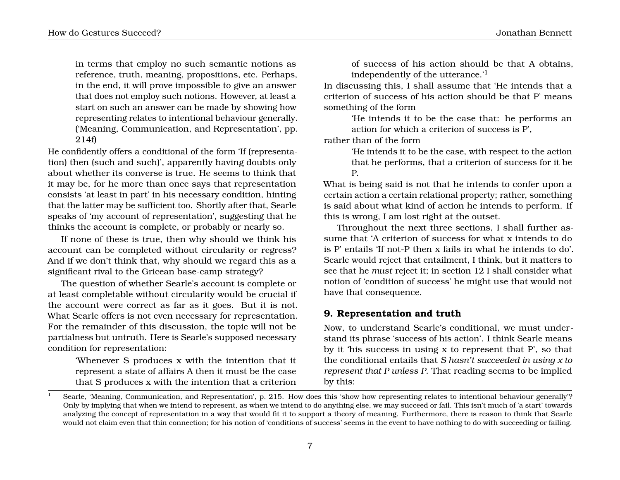in terms that employ no such semantic notions as reference, truth, meaning, propositions, etc. Perhaps, in the end, it will prove impossible to give an answer that does not employ such notions. However, at least a start on such an answer can be made by showing how representing relates to intentional behaviour generally. ('Meaning, Communication, and Representation', pp. 214f)

He confidently offers a conditional of the form 'If (representation) then (such and such)', apparently having doubts only about whether its converse is true. He seems to think that it may be, for he more than once says that representation consists 'at least in part' in his necessary condition, hinting that the latter may be sufficient too. Shortly after that, Searle speaks of 'my account of representation', suggesting that he thinks the account is complete, or probably or nearly so.

If none of these is true, then why should we think his account can be completed without circularity or regress? And if we don't think that, why should we regard this as a significant rival to the Gricean base-camp strategy?

The question of whether Searle's account is complete or at least completable without circularity would be crucial if the account were correct as far as it goes. But it is not. What Searle offers is not even necessary for representation. For the remainder of this discussion, the topic will not be partialness but untruth. Here is Searle's supposed necessary condition for representation:

> 'Whenever S produces x with the intention that it represent a state of affairs A then it must be the case that S produces x with the intention that a criterion

of success of his action should be that A obtains, independently of the utterance.'<sup>1</sup>

In discussing this, I shall assume that 'He intends that a criterion of success of his action should be that P' means something of the form

'He intends it to be the case that: he performs an action for which a criterion of success is P',

rather than of the form

'He intends it to be the case, with respect to the action that he performs, that a criterion of success for it be P.

What is being said is not that he intends to confer upon a certain action a certain relational property; rather, something is said about what kind of action he intends to perform. If this is wrong, I am lost right at the outset.

Throughout the next three sections, I shall further assume that 'A criterion of success for what x intends to do is P' entails 'If not-P then x fails in what he intends to do'. Searle would reject that entailment, I think, but it matters to see that he *must* reject it; in section 12 I shall consider what notion of 'condition of success' he might use that would not have that consequence.

## **9. Representation and truth**

Now, to understand Searle's conditional, we must understand its phrase 'success of his action'. I think Searle means by it 'his success in using x to represent that P', so that the conditional entails that *S hasn't succeeded in using x to represent that P unless P*. That reading seems to be implied by this:

Searle, 'Meaning, Communication, and Representation', p. 215. How does this 'show how representing relates to intentional behaviour generally'? Only by implying that when we intend to represent, as when we intend to do anything else, we may succeed or fail. This isn't much of 'a start' towards analyzing the concept of representation in a way that would fit it to support a theory of meaning. Furthermore, there is reason to think that Searle would not claim even that thin connection; for his notion of 'conditions of success' seems in the event to have nothing to do with succeeding or failing.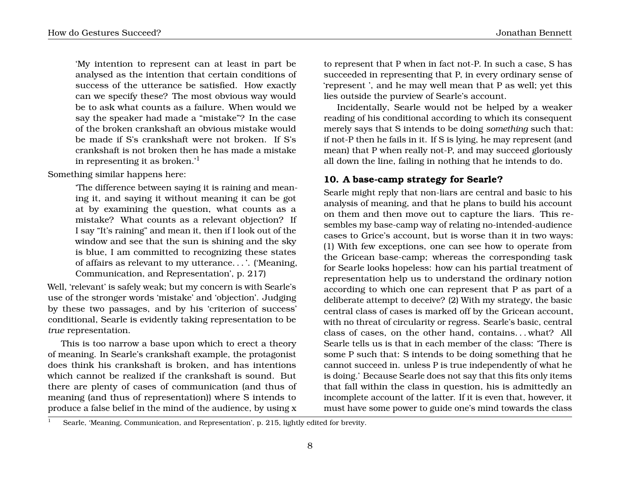'My intention to represent can at least in part be analysed as the intention that certain conditions of success of the utterance be satisfied. How exactly can we specify these? The most obvious way would be to ask what counts as a failure. When would we say the speaker had made a "mistake"? In the case of the broken crankshaft an obvious mistake would be made if S's crankshaft were not broken. If S's crankshaft is not broken then he has made a mistake in representing it as broken.'<sup>1</sup>

Something similar happens here:

'The difference between saying it is raining and meaning it, and saying it without meaning it can be got at by examining the question, what counts as a mistake? What counts as a relevant objection? If I say "It's raining" and mean it, then if I look out of the window and see that the sun is shining and the sky is blue, I am committed to recognizing these states of affairs as relevant to my utterance. . . '. ('Meaning, Communication, and Representation', p. 217)

Well, 'relevant' is safely weak; but my concern is with Searle's use of the stronger words 'mistake' and 'objection'. Judging by these two passages, and by his 'criterion of success' conditional, Searle is evidently taking representation to be *true* representation.

This is too narrow a base upon which to erect a theory of meaning. In Searle's crankshaft example, the protagonist does think his crankshaft is broken, and has intentions which cannot be realized if the crankshaft is sound. But there are plenty of cases of communication (and thus of meaning (and thus of representation)) where S intends to produce a false belief in the mind of the audience, by using x

to represent that P when in fact not-P. In such a case, S has succeeded in representing that P, in every ordinary sense of 'represent ', and he may well mean that P as well; yet this lies outside the purview of Searle's account.

Incidentally, Searle would not be helped by a weaker reading of his conditional according to which its consequent merely says that S intends to be doing *something* such that: if not-P then he fails in it. If S is lying, he may represent (and mean) that P when really not-P, and may succeed gloriously all down the line, failing in nothing that he intends to do.

## **10. A base-camp strategy for Searle?**

Searle might reply that non-liars are central and basic to his analysis of meaning, and that he plans to build his account on them and then move out to capture the liars. This resembles my base-camp way of relating no-intended-audience cases to Grice's account, but is worse than it in two ways: (1) With few exceptions, one can see how to operate from the Gricean base-camp; whereas the corresponding task for Searle looks hopeless: how can his partial treatment of representation help us to understand the ordinary notion according to which one can represent that P as part of a deliberate attempt to deceive? (2) With my strategy, the basic central class of cases is marked off by the Gricean account, with no threat of circularity or regress. Searle's basic, central class of cases, on the other hand, contains. . . what? All Searle tells us is that in each member of the class: 'There is some P such that: S intends to be doing something that he cannot succeed in. unless P is true independently of what he is doing.' Because Searle does not say that this fits only items that fall within the class in question, his is admittedly an incomplete account of the latter. If it is even that, however, it must have some power to guide one's mind towards the class

Searle, 'Meaning, Communication, and Representation', p. 215, lightly edited for brevity.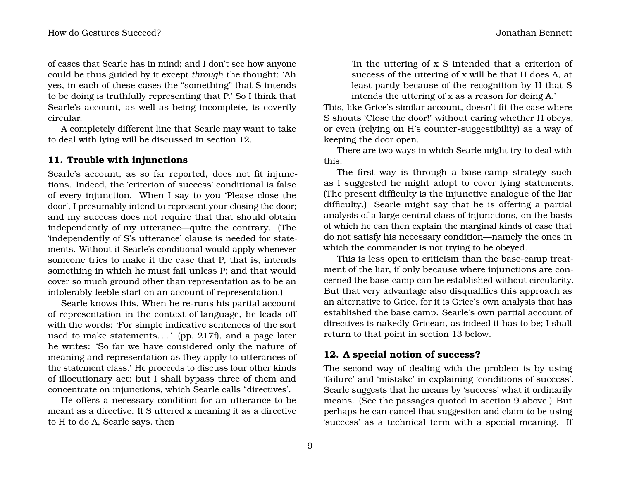of cases that Searle has in mind; and I don't see how anyone could be thus guided by it except *through* the thought: 'Ah yes, in each of these cases the "something" that S intends to be doing is truthfully representing that P.' So I think that Searle's account, as well as being incomplete, is covertly circular.

A completely different line that Searle may want to take to deal with lying will be discussed in section 12.

## **11. Trouble with injunctions**

Searle's account, as so far reported, does not fit injunctions. Indeed, the 'criterion of success' conditional is false of every injunction. When I say to you 'Please close the door', I presumably intend to represent your closing the door; and my success does not require that that should obtain independently of my utterance—quite the contrary. (The 'independently of S's utterance' clause is needed for statements. Without it Searle's conditional would apply whenever someone tries to make it the case that P, that is, intends something in which he must fail unless P; and that would cover so much ground other than representation as to be an intolerably feeble start on an account of representation.)

Searle knows this. When he re-runs his partial account of representation in the context of language, he leads off with the words: 'For simple indicative sentences of the sort used to make statements...' (pp. 217f), and a page later he writes: 'So far we have considered only the nature of meaning and representation as they apply to utterances of the statement class.' He proceeds to discuss four other kinds of illocutionary act; but I shall bypass three of them and concentrate on injunctions, which Searle calls "directives'.

He offers a necessary condition for an utterance to be meant as a directive. If S uttered x meaning it as a directive to H to do A, Searle says, then

'In the uttering of x S intended that a criterion of success of the uttering of x will be that H does A, at least partly because of the recognition by H that S intends the uttering of x as a reason for doing A.'

This, like Grice's similar account, doesn't fit the case where S shouts 'Close the door!' without caring whether H obeys, or even (relying on H's counter-suggestibility) as a way of keeping the door open.

There are two ways in which Searle might try to deal with this.

The first way is through a base-camp strategy such as I suggested he might adopt to cover lying statements. (The present difficulty is the injunctive analogue of the liar difficulty.) Searle might say that he is offering a partial analysis of a large central class of injunctions, on the basis of which he can then explain the marginal kinds of case that do not satisfy his necessary condition—namely the ones in which the commander is not trying to be obeyed.

This is less open to criticism than the base-camp treatment of the liar, if only because where injunctions are concerned the base-camp can be established without circularity. But that very advantage also disqualifies this approach as an alternative to Grice, for it is Grice's own analysis that has established the base camp. Searle's own partial account of directives is nakedly Gricean, as indeed it has to be; I shall return to that point in section 13 below.

#### **12. A special notion of success?**

The second way of dealing with the problem is by using 'failure' and 'mistake' in explaining 'conditions of success'. Searle suggests that he means by 'success' what it ordinarily means. (See the passages quoted in section 9 above.) But perhaps he can cancel that suggestion and claim to be using 'success' as a technical term with a special meaning. If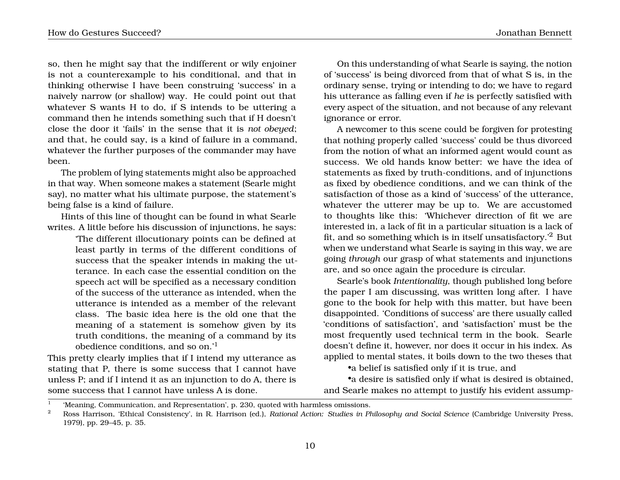so, then he might say that the indifferent or wily enjoiner is not a counterexample to his conditional, and that in thinking otherwise I have been construing 'success' in a naively narrow (or shallow) way. He could point out that whatever S wants H to do, if S intends to be uttering a command then he intends something such that if H doesn't close the door it 'fails' in the sense that it is *not obeyed*; and that, he could say, is a kind of failure in a command, whatever the further purposes of the commander may have been.

The problem of lying statements might also be approached in that way. When someone makes a statement (Searle might say), no matter what his ultimate purpose, the statement's being false is a kind of failure.

Hints of this line of thought can be found in what Searle writes. A little before his discussion of injunctions, he says:

> 'The different illocutionary points can be defined at least partly in terms of the different conditions of success that the speaker intends in making the utterance. In each case the essential condition on the speech act will be specified as a necessary condition of the success of the utterance as intended, when the utterance is intended as a member of the relevant class. The basic idea here is the old one that the meaning of a statement is somehow given by its truth conditions, the meaning of a command by its obedience conditions, and so on.'<sup>1</sup>

This pretty clearly implies that if I intend my utterance as stating that P, there is some success that I cannot have unless P; and if I intend it as an injunction to do A, there is some success that I cannot have unless A is done.

On this understanding of what Searle is saying, the notion of 'success' is being divorced from that of what S is, in the ordinary sense, trying or intending to do; we have to regard his utterance as falling even if *he* is perfectly satisfied with every aspect of the situation, and not because of any relevant ignorance or error.

A newcomer to this scene could be forgiven for protesting that nothing properly called 'success' could be thus divorced from the notion of what an informed agent would count as success. We old hands know better: we have the idea of statements as fixed by truth-conditions, and of injunctions as fixed by obedience conditions, and we can think of the satisfaction of those as a kind of 'success' of the utterance, whatever the utterer may be up to. We are accustomed to thoughts like this: 'Whichever direction of fit we are interested in, a lack of fit in a particular situation is a lack of fit, and so something which is in itself unsatisfactory.'<sup>2</sup> But when we understand what Searle is saying in this way, we are going *through* our grasp of what statements and injunctions are, and so once again the procedure is circular.

Searle's book *Intentionality*, though published long before the paper I am discussing, was written long after. I have gone to the book for help with this matter, but have been disappointed. 'Conditions of success' are there usually called 'conditions of satisfaction', and 'satisfaction' must be the most frequently used technical term in the book. Searle doesn't define it, however, nor does it occur in his index. As applied to mental states, it boils down to the two theses that

•a belief is satisfied only if it is true, and

•a desire is satisfied only if what is desired is obtained, and Searle makes no attempt to justify his evident assump-

<sup>1</sup> 'Meaning, Communication, and Representation', p. 230, quoted with harmless omissions.

<sup>2</sup> Ross Harrison, 'Ethical Consistency', in R. Harrison (ed.), *Rational Action: Studies in Philosophy and Social Science* (Cambridge University Press, 1979), pp. 29–45, p. 35.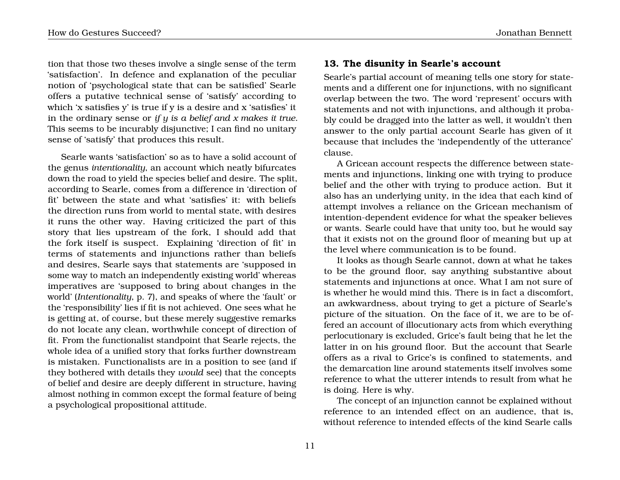tion that those two theses involve a single sense of the term 'satisfaction'. In defence and explanation of the peculiar notion of 'psychological state that can be satisfied' Searle offers a putative technical sense of 'satisfy' according to which 'x satisfies y' is true if y is a desire and x 'satisfies' it in the ordinary sense or *if y is a belief and x makes it true*. This seems to be incurably disjunctive; I can find no unitary sense of 'satisfy' that produces this result.

Searle wants 'satisfaction' so as to have a solid account of the genus *intentionality*, an account which neatly bifurcates down the road to yield the species belief and desire. The split, according to Searle, comes from a difference in 'direction of fit' between the state and what 'satisfies' it: with beliefs the direction runs from world to mental state, with desires it runs the other way. Having criticized the part of this story that lies upstream of the fork, I should add that the fork itself is suspect. Explaining 'direction of fit' in terms of statements and injunctions rather than beliefs and desires, Searle says that statements are 'supposed in some way to match an independently existing world' whereas imperatives are 'supposed to bring about changes in the world' (*Intentionality*, p. 7), and speaks of where the 'fault' or the 'responsibility' lies if fit is not achieved. One sees what he is getting at, of course, but these merely suggestive remarks do not locate any clean, worthwhile concept of direction of fit. From the functionalist standpoint that Searle rejects, the whole idea of a unified story that forks further downstream is mistaken. Functionalists are in a position to see (and if they bothered with details they *would* see) that the concepts of belief and desire are deeply different in structure, having almost nothing in common except the formal feature of being a psychological propositional attitude.

## **13. The disunity in Searle's account**

Searle's partial account of meaning tells one story for statements and a different one for injunctions, with no significant overlap between the two. The word 'represent' occurs with statements and not with injunctions, and although it probably could be dragged into the latter as well, it wouldn't then answer to the only partial account Searle has given of it because that includes the 'independently of the utterance' clause.

A Gricean account respects the difference between statements and injunctions, linking one with trying to produce belief and the other with trying to produce action. But it also has an underlying unity, in the idea that each kind of attempt involves a reliance on the Gricean mechanism of intention-dependent evidence for what the speaker believes or wants. Searle could have that unity too, but he would say that it exists not on the ground floor of meaning but up at the level where communication is to be found.

It looks as though Searle cannot, down at what he takes to be the ground floor, say anything substantive about statements and injunctions at once. What I am not sure of is whether he would mind this. There is in fact a discomfort, an awkwardness, about trying to get a picture of Searle's picture of the situation. On the face of it, we are to be offered an account of illocutionary acts from which everything perlocutionary is excluded, Grice's fault being that he let the latter in on his ground floor. But the account that Searle offers as a rival to Grice's is confined to statements, and the demarcation line around statements itself involves some reference to what the utterer intends to result from what he is doing. Here is why.

The concept of an injunction cannot be explained without reference to an intended effect on an audience, that is, without reference to intended effects of the kind Searle calls